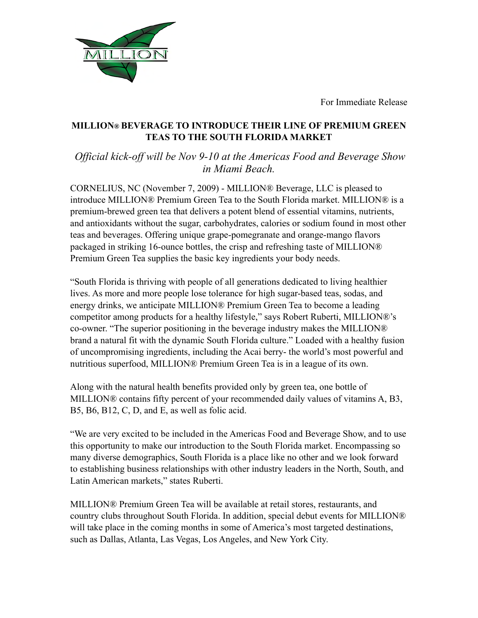For Immediate Release



## **MILLION® BEVERAGE TO INTRODUCE THEIR LINE OF PREMIUM GREEN TEAS TO THE SOUTH FLORIDA MARKET**

*Official kick-off will be Nov 9-10 at the Americas Food and Beverage Show in Miami Beach.*

CORNELIUS, NC (November 7, 2009) - MILLION® Beverage, LLC is pleased to introduce MILLION® Premium Green Tea to the South Florida market. MILLION® is a premium-brewed green tea that delivers a potent blend of essential vitamins, nutrients, and antioxidants without the sugar, carbohydrates, calories or sodium found in most other teas and beverages. Offering unique grape-pomegranate and orange-mango flavors packaged in striking 16-ounce bottles, the crisp and refreshing taste of MILLION® Premium Green Tea supplies the basic key ingredients your body needs.

"South Florida is thriving with people of all generations dedicated to living healthier lives. As more and more people lose tolerance for high sugar-based teas, sodas, and energy drinks, we anticipate MILLION® Premium Green Tea to become a leading competitor among products for a healthy lifestyle," says Robert Ruberti, MILLION®'s co-owner. "The superior positioning in the beverage industry makes the MILLION® brand a natural fit with the dynamic South Florida culture." Loaded with a healthy fusion of uncompromising ingredients, including the Acai berry- the world's most powerful and nutritious superfood, MILLION® Premium Green Tea is in a league of its own.

Along with the natural health benefits provided only by green tea, one bottle of MILLION® contains fifty percent of your recommended daily values of vitamins A, B3, B5, B6, B12, C, D, and E, as well as folic acid.

"We are very excited to be included in the Americas Food and Beverage Show, and to use this opportunity to make our introduction to the South Florida market. Encompassing so many diverse demographics, South Florida is a place like no other and we look forward to establishing business relationships with other industry leaders in the North, South, and Latin American markets," states Ruberti.

MILLION® Premium Green Tea will be available at retail stores, restaurants, and country clubs throughout South Florida. In addition, special debut events for MILLION® will take place in the coming months in some of America's most targeted destinations, such as Dallas, Atlanta, Las Vegas, Los Angeles, and New York City.